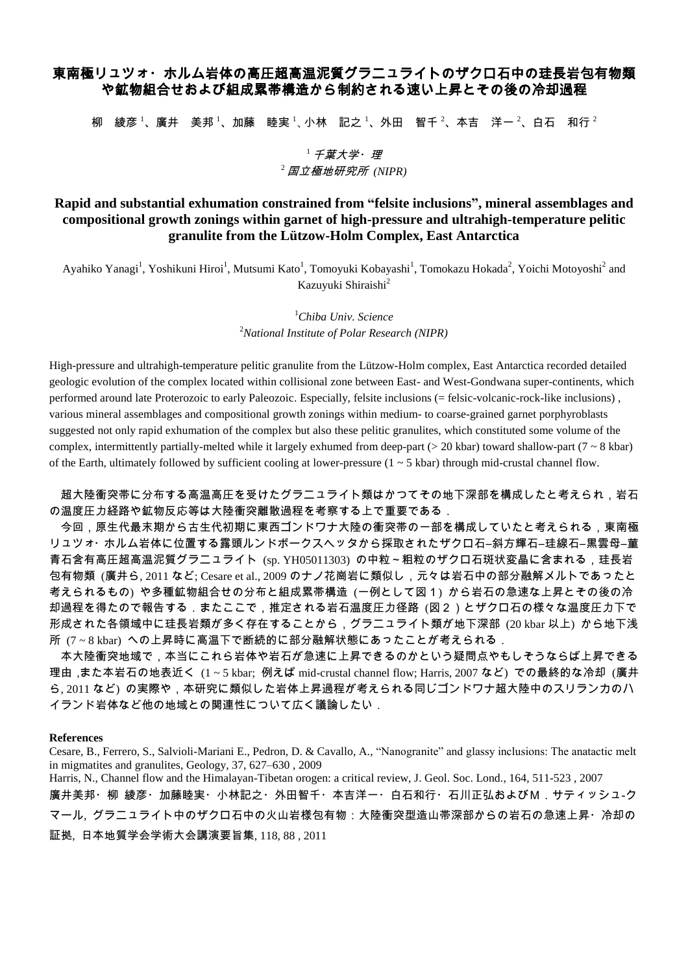## 東南極リュツォ・ホルム岩体の高圧超高温泥質グラニュライトのザクロ石中の珪長岩包有物類 や鉱物組合せおよび組成累帯構造から制約される速い上昇とその後の冷却過程

柳 綾彦  $^1$ 、廣井 美邦  $^1$ 、加藤 睦実  $^1$ 、小林 記之  $^1$ 、外田 智千  $^2$ 、本吉 洋一  $^2$ 、白石 和行  $^2$ 

## $^{\mathrm{1}}$  子葉大学・理  $2$  国立極地研究所 *(NIPR)*

## **Rapid and substantial exhumation constrained from "felsite inclusions", mineral assemblages and compositional growth zonings within garnet of high-pressure and ultrahigh-temperature pelitic granulite from the Lützow-Holm Complex, East Antarctica**

Ayahiko Yanagi<sup>1</sup>, Yoshikuni Hiroi<sup>1</sup>, Mutsumi Kato<sup>1</sup>, Tomoyuki Kobayashi<sup>1</sup>, Tomokazu Hokada<sup>2</sup>, Yoichi Motoyoshi<sup>2</sup> and Kazuyuki Shiraishi<sup>2</sup>

> <sup>1</sup>*Chiba Univ. Science* <sup>2</sup>*National Institute of Polar Research (NIPR)*

High-pressure and ultrahigh-temperature pelitic granulite from the Lützow-Holm complex, East Antarctica recorded detailed geologic evolution of the complex located within collisional zone between East- and West-Gondwana super-continents, which performed around late Proterozoic to early Paleozoic. Especially, felsite inclusions (= felsic-volcanic-rock-like inclusions) , various mineral assemblages and compositional growth zonings within medium- to coarse-grained garnet porphyroblasts suggested not only rapid exhumation of the complex but also these pelitic granulites, which constituted some volume of the complex, intermittently partially-melted while it largely exhumed from deep-part ( $> 20$  kbar) toward shallow-part ( $7 \sim 8$  kbar) of the Earth, ultimately followed by sufficient cooling at lower-pressure  $(1 \sim 5 \text{ kbar})$  through mid-crustal channel flow.

超大陸衝突帯に分布する高温高圧を受けたグラニュライト類はかつてその地下深部を構成したと考えられ,岩石 の温度圧力経路や鉱物反応等は大陸衝突離散過程を考察する上で重要である.

今回,原生代最末期から古生代初期に東西ゴンドワナ大陸の衝突帯の一部を構成していたと考えられる,東南極 リュツォ・ホルム岩体に位置する露頭ルンドボークスヘッタから採取されたザクロ石―斜方輝石―珪線石―黒雲母―菫 青石含有高圧超高温泥質グラニュライト (sp. YH05011303) の中粒~粗粒のザクロ石斑状変晶に含まれる,珪長岩 包有物類 (廣井ら, 2011 など; Cesare et al., 2009 のナノ花崗岩に類似し,元々は岩石中の部分融解メルトであったと 考えられるもの) や多種鉱物組合せの分布と組成累帯構造 (一例として図1) から岩石の急速な上昇とその後の冷 却過程を得たので報告する.またここで,推定される岩石温度圧力径路 (図2)とザクロ石の様々な温度圧力下で 形成された各領域中に珪長岩類が多く存在することから,グラニュライト類が地下深部 (20 kbar 以上) から地下浅 所 (7 ~ 8 kbar) への上昇時に高温下で断続的に部分融解状態にあったことが考えられる.

本大陸衝突地域で,本当にこれら岩体や岩石が急速に上昇できるのかという疑問点やもしそうならば上昇できる 理由,また本岩石の地表近く (1 ~ 5 kbar; 例えば mid-crustal channel flow; Harris, 2007 など) での最終的な冷却 (廣井 ら, 2011 など) の実際や,本研究に類似した岩体上昇過程が考えられる同じゴンドワナ超大陸中のスリランカのハ イランド岩体など他の地域との関連性について広く議論したい.

## **References**

Cesare, B., Ferrero, S., Salvioli-Mariani E., Pedron, D. & Cavallo, A., "Nanogranite" and glassy inclusions: The anatactic melt in migmatites and granulites, Geology, 37, 627–630 , 2009

Harris, N., Channel flow and the Himalayan-Tibetan orogen: a critical review, J. Geol. Soc. Lond., 164, 511-523 , 2007 廣井美邦・柳 綾彦・加藤睦実・小林記之・外田智千・本吉洋一・白石和行・石川正弘およびM.サティッシュ‐ク マール, グラニュライト中のザクロ石中の火山岩様包有物:大陸衝突型造山帯深部からの岩石の急速上昇・冷却の 証拠, 日本地質学会学術大会講演要旨集, 118, 88 , 2011